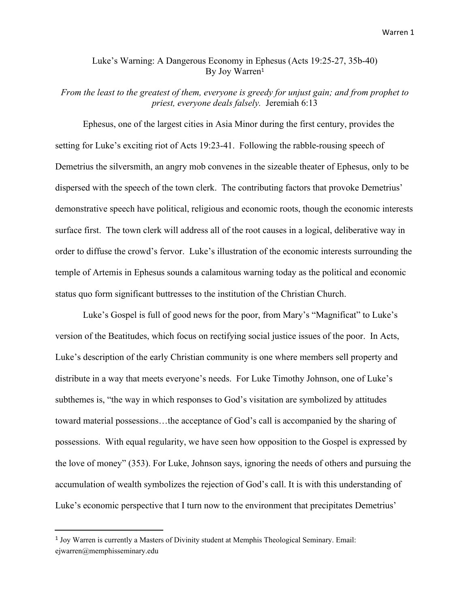## Luke's Warning: A Dangerous Economy in Ephesus (Acts 19:25-27, 35b-40) By Joy Warren 1

## *From the least to the greatest of them, everyone is greedy for unjust gain; and from prophet to priest, everyone deals falsely.* Jeremiah 6:13

Ephesus, one of the largest cities in Asia Minor during the first century, provides the setting for Luke's exciting riot of Acts 19:23-41. Following the rabble-rousing speech of Demetrius the silversmith, an angry mob convenes in the sizeable theater of Ephesus, only to be dispersed with the speech of the town clerk. The contributing factors that provoke Demetrius' demonstrative speech have political, religious and economic roots, though the economic interests surface first. The town clerk will address all of the root causes in a logical, deliberative way in order to diffuse the crowd's fervor. Luke's illustration of the economic interests surrounding the temple of Artemis in Ephesus sounds a calamitous warning today as the political and economic status quo form significant buttresses to the institution of the Christian Church.

Luke's Gospel is full of good news for the poor, from Mary's "Magnificat" to Luke's version of the Beatitudes, which focus on rectifying social justice issues of the poor. In Acts, Luke's description of the early Christian community is one where members sell property and distribute in a way that meets everyone's needs. For Luke Timothy Johnson, one of Luke's subthemes is, "the way in which responses to God's visitation are symbolized by attitudes toward material possessions…the acceptance of God's call is accompanied by the sharing of possessions. With equal regularity, we have seen how opposition to the Gospel is expressed by the love of money" (353). For Luke, Johnson says, ignoring the needs of others and pursuing the accumulation of wealth symbolizes the rejection of God's call. It is with this understanding of Luke's economic perspective that I turn now to the environment that precipitates Demetrius'

<sup>&</sup>lt;sup>1</sup> Joy Warren is currently a Masters of Divinity student at Memphis Theological Seminary. Email: ejwarren@memphisseminary.edu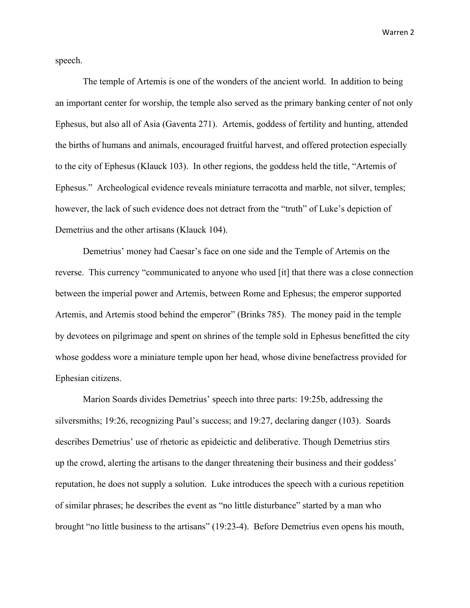Warren 2

speech.

The temple of Artemis is one of the wonders of the ancient world. In addition to being an important center for worship, the temple also served as the primary banking center of not only Ephesus, but also all of Asia (Gaventa 271). Artemis, goddess of fertility and hunting, attended the births of humans and animals, encouraged fruitful harvest, and offered protection especially to the city of Ephesus (Klauck 103). In other regions, the goddess held the title, "Artemis of Ephesus." Archeological evidence reveals miniature terracotta and marble, not silver, temples; however, the lack of such evidence does not detract from the "truth" of Luke's depiction of Demetrius and the other artisans (Klauck 104).

Demetrius' money had Caesar's face on one side and the Temple of Artemis on the reverse. This currency "communicated to anyone who used [it] that there was a close connection between the imperial power and Artemis, between Rome and Ephesus; the emperor supported Artemis, and Artemis stood behind the emperor" (Brinks 785). The money paid in the temple by devotees on pilgrimage and spent on shrines of the temple sold in Ephesus benefitted the city whose goddess wore a miniature temple upon her head, whose divine benefactress provided for Ephesian citizens.

Marion Soards divides Demetrius' speech into three parts: 19:25b, addressing the silversmiths; 19:26, recognizing Paul's success; and 19:27, declaring danger (103). Soards describes Demetrius' use of rhetoric as epideictic and deliberative. Though Demetrius stirs up the crowd, alerting the artisans to the danger threatening their business and their goddess' reputation, he does not supply a solution. Luke introduces the speech with a curious repetition of similar phrases; he describes the event as "no little disturbance" started by a man who brought "no little business to the artisans" (19:23-4). Before Demetrius even opens his mouth,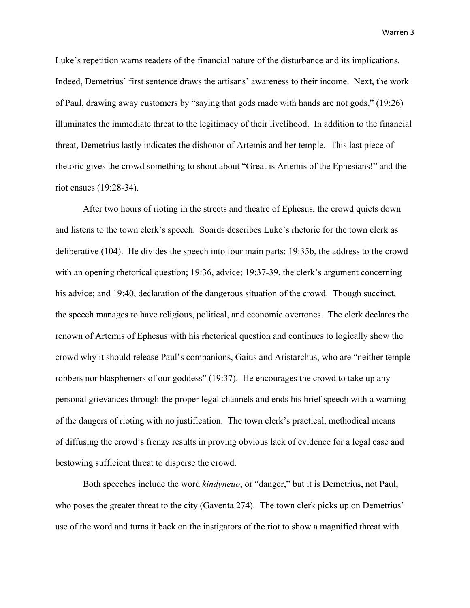Warren 3

Luke's repetition warns readers of the financial nature of the disturbance and its implications. Indeed, Demetrius' first sentence draws the artisans' awareness to their income. Next, the work of Paul, drawing away customers by "saying that gods made with hands are not gods," (19:26) illuminates the immediate threat to the legitimacy of their livelihood. In addition to the financial threat, Demetrius lastly indicates the dishonor of Artemis and her temple. This last piece of rhetoric gives the crowd something to shout about "Great is Artemis of the Ephesians!" and the riot ensues (19:28-34).

After two hours of rioting in the streets and theatre of Ephesus, the crowd quiets down and listens to the town clerk's speech. Soards describes Luke's rhetoric for the town clerk as deliberative (104). He divides the speech into four main parts: 19:35b, the address to the crowd with an opening rhetorical question; 19:36, advice; 19:37-39, the clerk's argument concerning his advice; and 19:40, declaration of the dangerous situation of the crowd. Though succinct, the speech manages to have religious, political, and economic overtones. The clerk declares the renown of Artemis of Ephesus with his rhetorical question and continues to logically show the crowd why it should release Paul's companions, Gaius and Aristarchus, who are "neither temple robbers nor blasphemers of our goddess" (19:37). He encourages the crowd to take up any personal grievances through the proper legal channels and ends his brief speech with a warning of the dangers of rioting with no justification. The town clerk's practical, methodical means of diffusing the crowd's frenzy results in proving obvious lack of evidence for a legal case and bestowing sufficient threat to disperse the crowd.

Both speeches include the word *kindyneuo*, or "danger," but it is Demetrius, not Paul, who poses the greater threat to the city (Gaventa 274). The town clerk picks up on Demetrius' use of the word and turns it back on the instigators of the riot to show a magnified threat with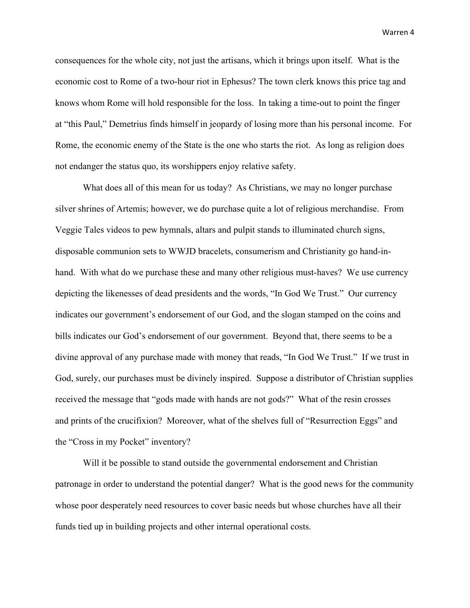Warren 4

consequences for the whole city, not just the artisans, which it brings upon itself. What is the economic cost to Rome of a two-hour riot in Ephesus? The town clerk knows this price tag and knows whom Rome will hold responsible for the loss. In taking a time-out to point the finger at "this Paul," Demetrius finds himself in jeopardy of losing more than his personal income. For Rome, the economic enemy of the State is the one who starts the riot. As long as religion does not endanger the status quo, its worshippers enjoy relative safety.

What does all of this mean for us today? As Christians, we may no longer purchase silver shrines of Artemis; however, we do purchase quite a lot of religious merchandise. From Veggie Tales videos to pew hymnals, altars and pulpit stands to illuminated church signs, disposable communion sets to WWJD bracelets, consumerism and Christianity go hand-inhand. With what do we purchase these and many other religious must-haves? We use currency depicting the likenesses of dead presidents and the words, "In God We Trust." Our currency indicates our government's endorsement of our God, and the slogan stamped on the coins and bills indicates our God's endorsement of our government. Beyond that, there seems to be a divine approval of any purchase made with money that reads, "In God We Trust." If we trust in God, surely, our purchases must be divinely inspired. Suppose a distributor of Christian supplies received the message that "gods made with hands are not gods?" What of the resin crosses and prints of the crucifixion? Moreover, what of the shelves full of "Resurrection Eggs" and the "Cross in my Pocket" inventory?

Will it be possible to stand outside the governmental endorsement and Christian patronage in order to understand the potential danger? What is the good news for the community whose poor desperately need resources to cover basic needs but whose churches have all their funds tied up in building projects and other internal operational costs.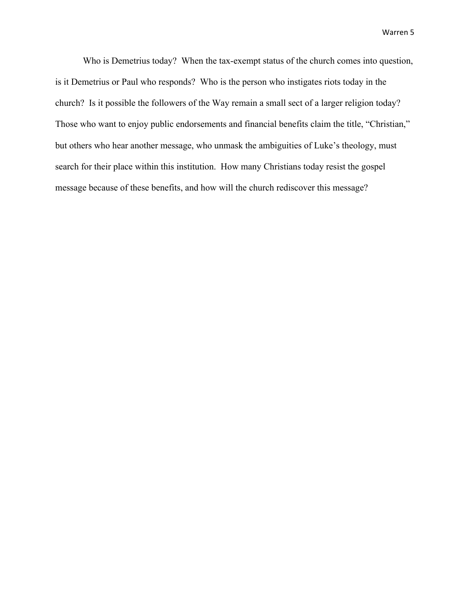Who is Demetrius today? When the tax-exempt status of the church comes into question, is it Demetrius or Paul who responds? Who is the person who instigates riots today in the church? Is it possible the followers of the Way remain a small sect of a larger religion today? Those who want to enjoy public endorsements and financial benefits claim the title, "Christian," but others who hear another message, who unmask the ambiguities of Luke's theology, must search for their place within this institution. How many Christians today resist the gospel message because of these benefits, and how will the church rediscover this message?